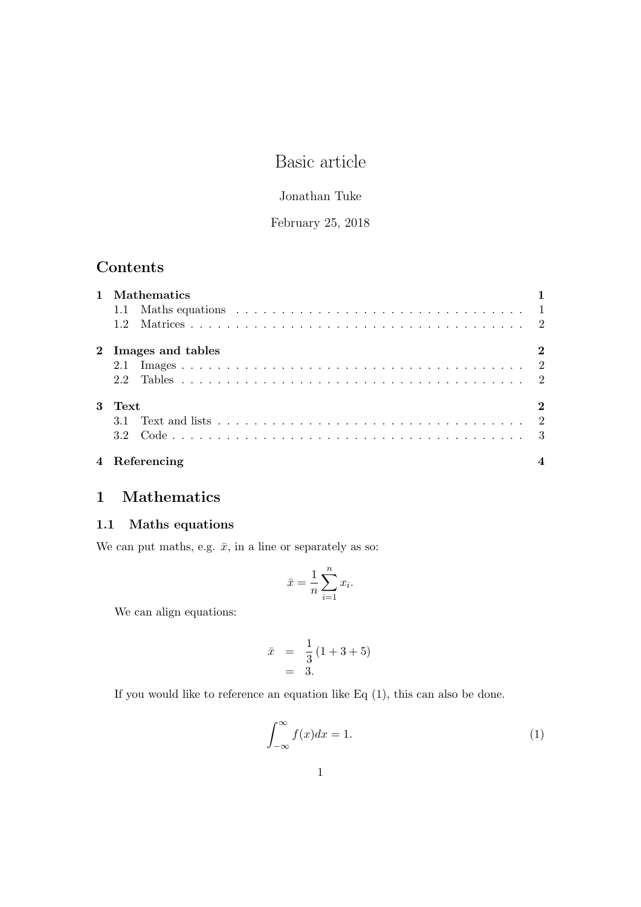# Basic article

### Jonathan Tuke

### February 25, 2018

## Contents

| 1 Mathematics       |          |
|---------------------|----------|
|                     |          |
| 1.2                 |          |
| 2 Images and tables | $\bf{2}$ |
|                     |          |
|                     |          |
| 3 Text              | $\bf{2}$ |
|                     |          |
|                     |          |
| 4 Referencing       |          |

## 1 Mathematics

#### 1.1 Maths equations

We can put maths, e.g.  $\bar{x}$ , in a line or separately as so:

$$
\bar{x} = \frac{1}{n} \sum_{i=1}^{n} x_i.
$$

We can align equations:

$$
\bar{x} = \frac{1}{3}(1+3+5) \n= 3.
$$

If you would like to reference an equation like Eq (1), this can also be done.

$$
\int_{-\infty}^{\infty} f(x)dx = 1.
$$
 (1)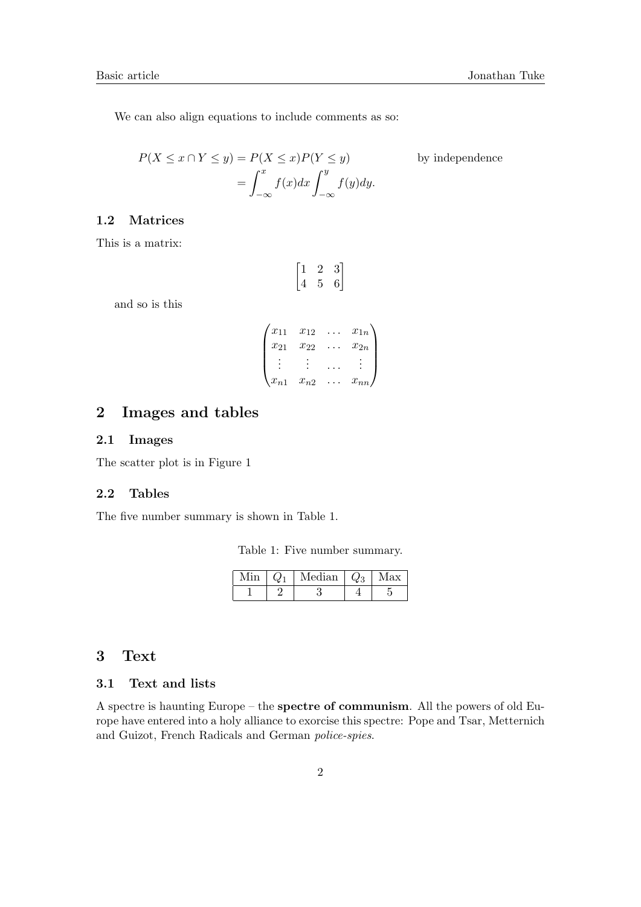We can also align equations to include comments as so:

$$
P(X \le x \cap Y \le y) = P(X \le x)P(Y \le y)
$$
 by independence  

$$
= \int_{-\infty}^{x} f(x)dx \int_{-\infty}^{y} f(y)dy.
$$

#### 1.2 Matrices

This is a matrix:

$$
\begin{bmatrix} 1 & 2 & 3 \\ 4 & 5 & 6 \end{bmatrix}
$$

and so is this

$$
\begin{pmatrix} x_{11} & x_{12} & \dots & x_{1n} \\ x_{21} & x_{22} & \dots & x_{2n} \\ \vdots & \vdots & \dots & \vdots \\ x_{n1} & x_{n2} & \dots & x_{nn} \end{pmatrix}
$$

## 2 Images and tables

#### 2.1 Images

The scatter plot is in Figure 1

#### 2.2 Tables

The five number summary is shown in Table 1.

Table 1: Five number summary.

|  | Median | $L_{\mathcal{D}}$ | ax |
|--|--------|-------------------|----|
|  |        |                   |    |

### 3 Text

#### 3.1 Text and lists

A spectre is haunting Europe – the spectre of communism. All the powers of old Europe have entered into a holy alliance to exorcise this spectre: Pope and Tsar, Metternich and Guizot, French Radicals and German police-spies.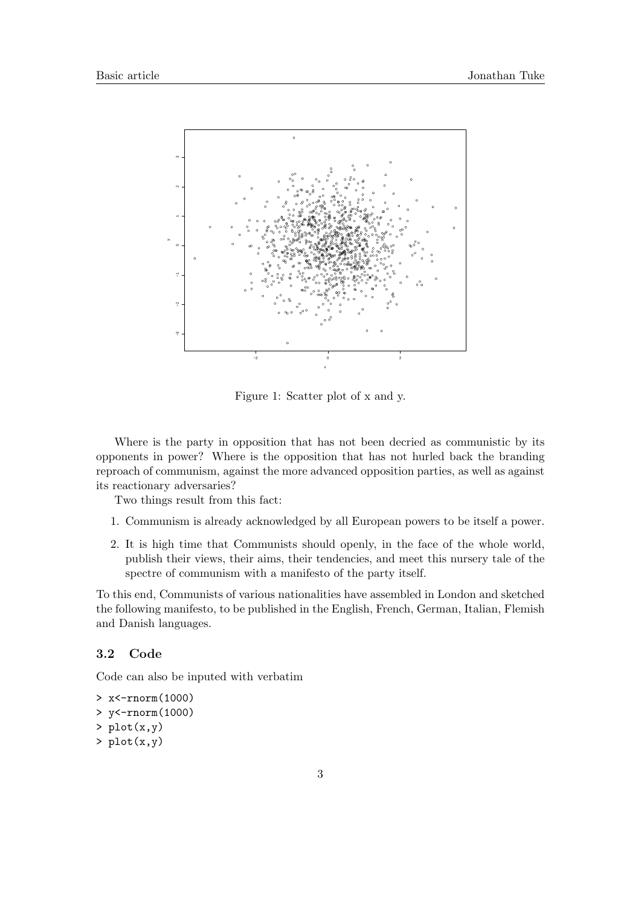

Figure 1: Scatter plot of x and y.

Where is the party in opposition that has not been decried as communistic by its opponents in power? Where is the opposition that has not hurled back the branding reproach of communism, against the more advanced opposition parties, as well as against its reactionary adversaries?

Two things result from this fact:

- 1. Communism is already acknowledged by all European powers to be itself a power.
- 2. It is high time that Communists should openly, in the face of the whole world, publish their views, their aims, their tendencies, and meet this nursery tale of the spectre of communism with a manifesto of the party itself.

To this end, Communists of various nationalities have assembled in London and sketched the following manifesto, to be published in the English, French, German, Italian, Flemish and Danish languages.

#### 3.2 Code

Code can also be inputed with verbatim

```
> x<-rnorm(1000)
> y<-rnorm(1000)
> plot(x,y)> plot(x,y)
```